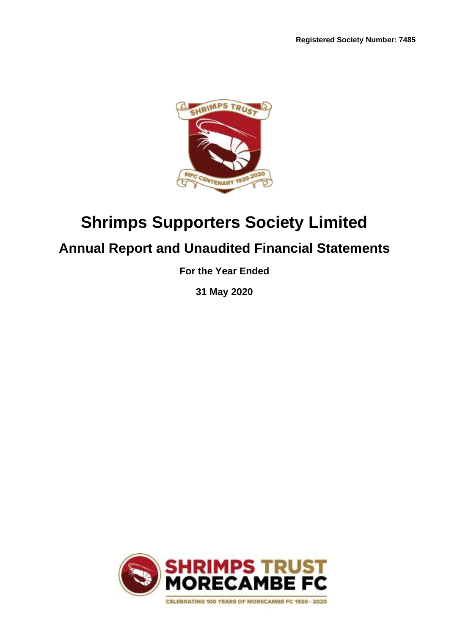

# **Shrimps Supporters Society Limited**

# **Annual Report and Unaudited Financial Statements**

**For the Year Ended**

**31 May 2020**

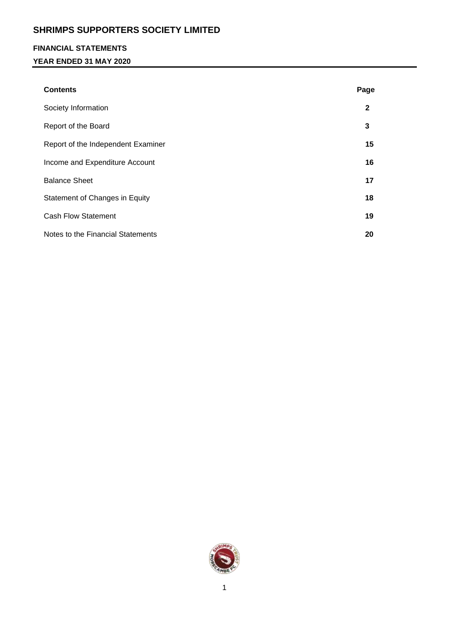## **FINANCIAL STATEMENTS**

## **YEAR ENDED 31 MAY 2020**

| <b>Contents</b>                    | Page         |
|------------------------------------|--------------|
| Society Information                | $\mathbf{2}$ |
| Report of the Board                | 3            |
| Report of the Independent Examiner | 15           |
| Income and Expenditure Account     | 16           |
| <b>Balance Sheet</b>               | 17           |
| Statement of Changes in Equity     | 18           |
| <b>Cash Flow Statement</b>         | 19           |
| Notes to the Financial Statements  | 20           |

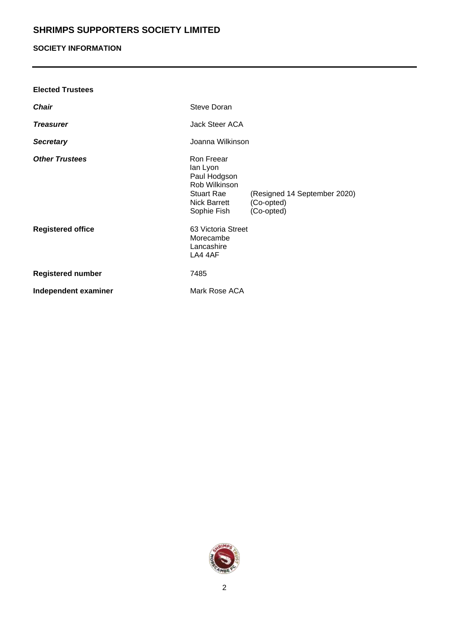# **SOCIETY INFORMATION**

| <b>Elected Trustees</b>  |                                                                                                             |                                                          |
|--------------------------|-------------------------------------------------------------------------------------------------------------|----------------------------------------------------------|
| <b>Chair</b>             | Steve Doran                                                                                                 |                                                          |
| <b>Treasurer</b>         | Jack Steer ACA                                                                                              |                                                          |
| <b>Secretary</b>         | Joanna Wilkinson                                                                                            |                                                          |
| <b>Other Trustees</b>    | Ron Freear<br>lan Lyon<br>Paul Hodgson<br>Rob Wilkinson<br>Stuart Rae<br><b>Nick Barrett</b><br>Sophie Fish | (Resigned 14 September 2020)<br>(Co-opted)<br>(Co-opted) |
| <b>Registered office</b> | 63 Victoria Street<br>Morecambe<br>Lancashire<br>LA4 4AF                                                    |                                                          |
| <b>Registered number</b> | 7485                                                                                                        |                                                          |
| Independent examiner     | Mark Rose ACA                                                                                               |                                                          |

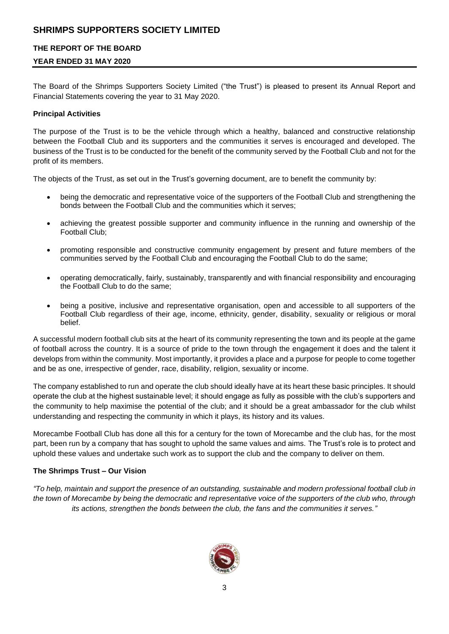## **THE REPORT OF THE BOARD**

## **YEAR ENDED 31 MAY 2020**

The Board of the Shrimps Supporters Society Limited ("the Trust") is pleased to present its Annual Report and Financial Statements covering the year to 31 May 2020.

## **Principal Activities**

The purpose of the Trust is to be the vehicle through which a healthy, balanced and constructive relationship between the Football Club and its supporters and the communities it serves is encouraged and developed. The business of the Trust is to be conducted for the benefit of the community served by the Football Club and not for the profit of its members.

The objects of the Trust, as set out in the Trust's governing document, are to benefit the community by:

- being the democratic and representative voice of the supporters of the Football Club and strengthening the bonds between the Football Club and the communities which it serves;
- achieving the greatest possible supporter and community influence in the running and ownership of the Football Club;
- promoting responsible and constructive community engagement by present and future members of the communities served by the Football Club and encouraging the Football Club to do the same;
- operating democratically, fairly, sustainably, transparently and with financial responsibility and encouraging the Football Club to do the same;
- being a positive, inclusive and representative organisation, open and accessible to all supporters of the Football Club regardless of their age, income, ethnicity, gender, disability, sexuality or religious or moral belief.

A successful modern football club sits at the heart of its community representing the town and its people at the game of football across the country. It is a source of pride to the town through the engagement it does and the talent it develops from within the community. Most importantly, it provides a place and a purpose for people to come together and be as one, irrespective of gender, race, disability, religion, sexuality or income.

The company established to run and operate the club should ideally have at its heart these basic principles. It should operate the club at the highest sustainable level; it should engage as fully as possible with the club's supporters and the community to help maximise the potential of the club; and it should be a great ambassador for the club whilst understanding and respecting the community in which it plays, its history and its values.

Morecambe Football Club has done all this for a century for the town of Morecambe and the club has, for the most part, been run by a company that has sought to uphold the same values and aims. The Trust's role is to protect and uphold these values and undertake such work as to support the club and the company to deliver on them.

#### **The Shrimps Trust – Our Vision**

*"To help, maintain and support the presence of an outstanding, sustainable and modern professional football club in the town of Morecambe by being the democratic and representative voice of the supporters of the club who, through its actions, strengthen the bonds between the club, the fans and the communities it serves."*

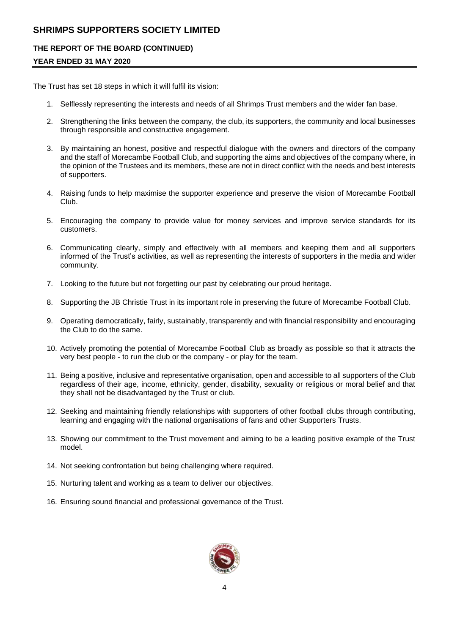## **THE REPORT OF THE BOARD (CONTINUED)**

## **YEAR ENDED 31 MAY 2020**

The Trust has set 18 steps in which it will fulfil its vision:

- 1. Selflessly representing the interests and needs of all Shrimps Trust members and the wider fan base.
- 2. Strengthening the links between the company, the club, its supporters, the community and local businesses through responsible and constructive engagement.
- 3. By maintaining an honest, positive and respectful dialogue with the owners and directors of the company and the staff of Morecambe Football Club, and supporting the aims and objectives of the company where, in the opinion of the Trustees and its members, these are not in direct conflict with the needs and best interests of supporters.
- 4. Raising funds to help maximise the supporter experience and preserve the vision of Morecambe Football Club.
- 5. Encouraging the company to provide value for money services and improve service standards for its customers.
- 6. Communicating clearly, simply and effectively with all members and keeping them and all supporters informed of the Trust's activities, as well as representing the interests of supporters in the media and wider community.
- 7. Looking to the future but not forgetting our past by celebrating our proud heritage.
- 8. Supporting the JB Christie Trust in its important role in preserving the future of Morecambe Football Club.
- 9. Operating democratically, fairly, sustainably, transparently and with financial responsibility and encouraging the Club to do the same.
- 10. Actively promoting the potential of Morecambe Football Club as broadly as possible so that it attracts the very best people - to run the club or the company - or play for the team.
- 11. Being a positive, inclusive and representative organisation, open and accessible to all supporters of the Club regardless of their age, income, ethnicity, gender, disability, sexuality or religious or moral belief and that they shall not be disadvantaged by the Trust or club.
- 12. Seeking and maintaining friendly relationships with supporters of other football clubs through contributing, learning and engaging with the national organisations of fans and other Supporters Trusts.
- 13. Showing our commitment to the Trust movement and aiming to be a leading positive example of the Trust model.
- 14. Not seeking confrontation but being challenging where required.
- 15. Nurturing talent and working as a team to deliver our objectives.
- 16. Ensuring sound financial and professional governance of the Trust.

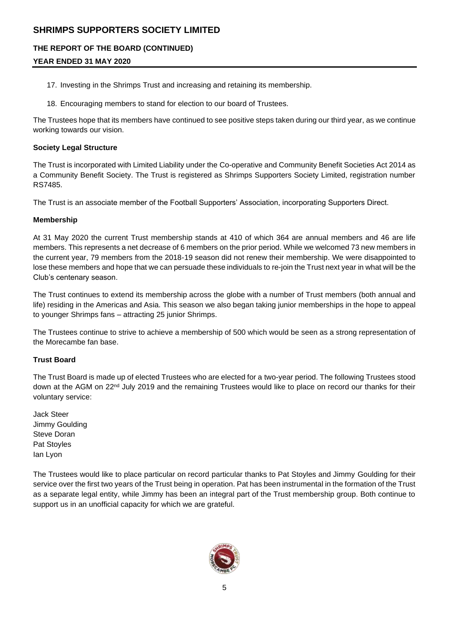## **THE REPORT OF THE BOARD (CONTINUED)**

# **YEAR ENDED 31 MAY 2020**

- 17. Investing in the Shrimps Trust and increasing and retaining its membership.
- 18. Encouraging members to stand for election to our board of Trustees.

The Trustees hope that its members have continued to see positive steps taken during our third year, as we continue working towards our vision.

## **Society Legal Structure**

The Trust is incorporated with Limited Liability under the Co-operative and Community Benefit Societies Act 2014 as a Community Benefit Society. The Trust is registered as Shrimps Supporters Society Limited, registration number RS7485.

The Trust is an associate member of the Football Supporters' Association, incorporating Supporters Direct.

## **Membership**

At 31 May 2020 the current Trust membership stands at 410 of which 364 are annual members and 46 are life members. This represents a net decrease of 6 members on the prior period. While we welcomed 73 new members in the current year, 79 members from the 2018-19 season did not renew their membership. We were disappointed to lose these members and hope that we can persuade these individuals to re-join the Trust next year in what will be the Club's centenary season.

The Trust continues to extend its membership across the globe with a number of Trust members (both annual and life) residing in the Americas and Asia. This season we also began taking junior memberships in the hope to appeal to younger Shrimps fans – attracting 25 junior Shrimps.

The Trustees continue to strive to achieve a membership of 500 which would be seen as a strong representation of the Morecambe fan base.

## **Trust Board**

The Trust Board is made up of elected Trustees who are elected for a two-year period. The following Trustees stood down at the AGM on 22<sup>nd</sup> July 2019 and the remaining Trustees would like to place on record our thanks for their voluntary service:

Jack Steer Jimmy Goulding Steve Doran Pat Stoyles Ian Lyon

The Trustees would like to place particular on record particular thanks to Pat Stoyles and Jimmy Goulding for their service over the first two years of the Trust being in operation. Pat has been instrumental in the formation of the Trust as a separate legal entity, while Jimmy has been an integral part of the Trust membership group. Both continue to support us in an unofficial capacity for which we are grateful.

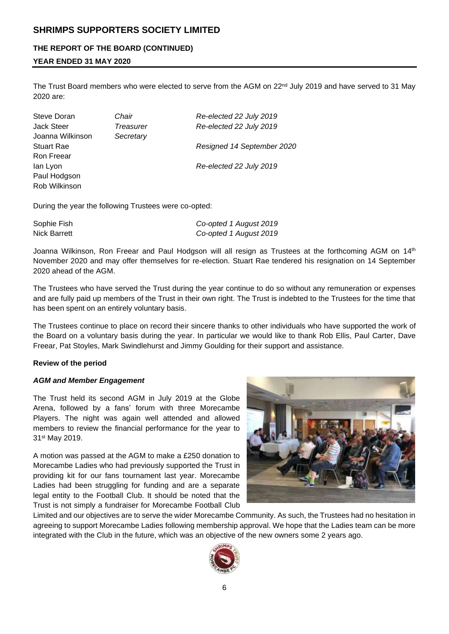## **THE REPORT OF THE BOARD (CONTINUED)**

## **YEAR ENDED 31 MAY 2020**

The Trust Board members who were elected to serve from the AGM on 22<sup>nd</sup> July 2019 and have served to 31 May 2020 are:

| Steve Doran       | Chair     | Re-elected 22 July 2019    |
|-------------------|-----------|----------------------------|
| Jack Steer        | Treasurer | Re-elected 22 July 2019    |
| Joanna Wilkinson  | Secretary |                            |
| <b>Stuart Rae</b> |           | Resigned 14 September 2020 |
| Ron Freear        |           |                            |
| lan Lyon          |           | Re-elected 22 July 2019    |
| Paul Hodgson      |           |                            |
| Rob Wilkinson     |           |                            |
|                   |           |                            |

During the year the following Trustees were co-opted:

| Sophie Fish  | Co-opted 1 August 2019 |
|--------------|------------------------|
| Nick Barrett | Co-opted 1 August 2019 |

Joanna Wilkinson, Ron Freear and Paul Hodgson will all resign as Trustees at the forthcoming AGM on 14<sup>th</sup> November 2020 and may offer themselves for re-election. Stuart Rae tendered his resignation on 14 September 2020 ahead of the AGM.

The Trustees who have served the Trust during the year continue to do so without any remuneration or expenses and are fully paid up members of the Trust in their own right. The Trust is indebted to the Trustees for the time that has been spent on an entirely voluntary basis.

The Trustees continue to place on record their sincere thanks to other individuals who have supported the work of the Board on a voluntary basis during the year. In particular we would like to thank Rob Ellis, Paul Carter, Dave Freear, Pat Stoyles, Mark Swindlehurst and Jimmy Goulding for their support and assistance.

#### **Review of the period**

#### *AGM and Member Engagement*

The Trust held its second AGM in July 2019 at the Globe Arena, followed by a fans' forum with three Morecambe Players. The night was again well attended and allowed members to review the financial performance for the year to 31st May 2019.

A motion was passed at the AGM to make a £250 donation to Morecambe Ladies who had previously supported the Trust in providing kit for our fans tournament last year. Morecambe Ladies had been struggling for funding and are a separate legal entity to the Football Club. It should be noted that the Trust is not simply a fundraiser for Morecambe Football Club



Limited and our objectives are to serve the wider Morecambe Community. As such, the Trustees had no hesitation in agreeing to support Morecambe Ladies following membership approval. We hope that the Ladies team can be more integrated with the Club in the future, which was an objective of the new owners some 2 years ago.

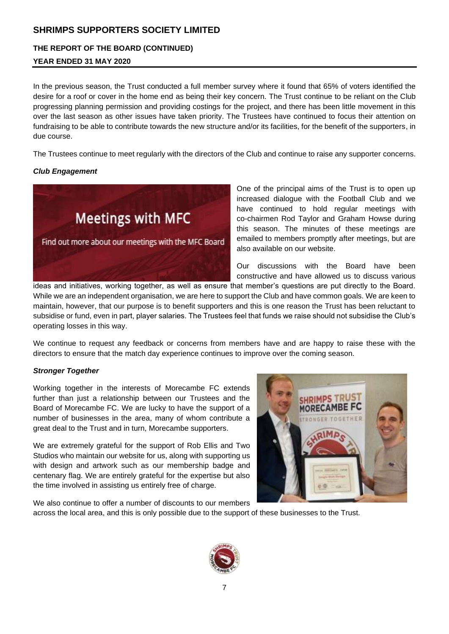## **THE REPORT OF THE BOARD (CONTINUED)**

# **YEAR ENDED 31 MAY 2020**

In the previous season, the Trust conducted a full member survey where it found that 65% of voters identified the desire for a roof or cover in the home end as being their key concern. The Trust continue to be reliant on the Club progressing planning permission and providing costings for the project, and there has been little movement in this over the last season as other issues have taken priority. The Trustees have continued to focus their attention on fundraising to be able to contribute towards the new structure and/or its facilities, for the benefit of the supporters, in due course.

The Trustees continue to meet regularly with the directors of the Club and continue to raise any supporter concerns.

## *Club Engagement*



One of the principal aims of the Trust is to open up increased dialogue with the Football Club and we have continued to hold regular meetings with co-chairmen Rod Taylor and Graham Howse during this season. The minutes of these meetings are emailed to members promptly after meetings, but are also available on our website.

Our discussions with the Board have been constructive and have allowed us to discuss various

ideas and initiatives, working together, as well as ensure that member's questions are put directly to the Board. While we are an independent organisation, we are here to support the Club and have common goals. We are keen to maintain, however, that our purpose is to benefit supporters and this is one reason the Trust has been reluctant to subsidise or fund, even in part, player salaries. The Trustees feel that funds we raise should not subsidise the Club's operating losses in this way.

We continue to request any feedback or concerns from members have and are happy to raise these with the directors to ensure that the match day experience continues to improve over the coming season.

## *Stronger Together*

Working together in the interests of Morecambe FC extends further than just a relationship between our Trustees and the Board of Morecambe FC. We are lucky to have the support of a number of businesses in the area, many of whom contribute a great deal to the Trust and in turn, Morecambe supporters.

We are extremely grateful for the support of Rob Ellis and Two Studios who maintain our website for us, along with supporting us with design and artwork such as our membership badge and centenary flag. We are entirely grateful for the expertise but also the time involved in assisting us entirely free of charge.



We also continue to offer a number of discounts to our members

across the local area, and this is only possible due to the support of these businesses to the Trust.

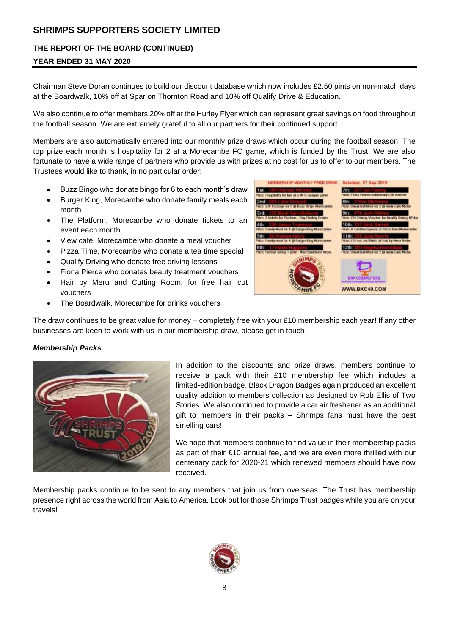## **THE REPORT OF THE BOARD (CONTINUED)**

## **YEAR ENDED 31 MAY 2020**

Chairman Steve Doran continues to build our discount database which now includes £2.50 pints on non-match days at the Boardwalk, 10% off at Spar on Thornton Road and 10% off Qualify Drive & Education.

We also continue to offer members 20% off at the Hurley Flyer which can represent great savings on food throughout the football season. We are extremely grateful to all our partners for their continued support.

Members are also automatically entered into our monthly prize draws which occur during the football season. The top prize each month is hospitality for 2 at a Morecambe FC game, which is funded by the Trust. We are also fortunate to have a wide range of partners who provide us with prizes at no cost for us to offer to our members. The Trustees would like to thank, in no particular order:

- Buzz Bingo who donate bingo for 6 to each month's draw
- Burger King, Morecambe who donate family meals each month
- The Platform, Morecambe who donate tickets to an event each month
- View café, Morecambe who donate a meal voucher
- Pizza Time, Morecambe who donate a tea time special
- Qualify Driving who donate free driving lessons
- Fiona Pierce who donates beauty treatment vouchers
- Hair by Meru and Cutting Room, for free hair cut vouchers
- The Boardwalk, Morecambe for drinks vouchers

1st 7th: 2<sub>nd</sub> WWW.BKC49.COM

MEMBERSHIP MONTHLY PRIZE DRAW

Saturday, 07 Sec 2019

The draw continues to be great value for money – completely free with your £10 membership each year! If any other businesses are keen to work with us in our membership draw, please get in touch.

#### *Membership Packs*



In addition to the discounts and prize draws, members continue to receive a pack with their £10 membership fee which includes a limited-edition badge. Black Dragon Badges again produced an excellent quality addition to members collection as designed by Rob Ellis of Two Stories. We also continued to provide a car air freshener as an additional gift to members in their packs – Shrimps fans must have the best smelling cars!

We hope that members continue to find value in their membership packs as part of their £10 annual fee, and we are even more thrilled with our centenary pack for 2020-21 which renewed members should have now received.

Membership packs continue to be sent to any members that join us from overseas. The Trust has membership presence right across the world from Asia to America. Look out for those Shrimps Trust badges while you are on your travels!

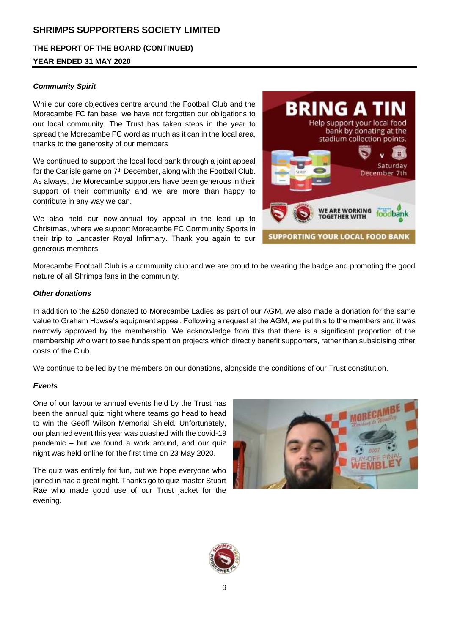**THE REPORT OF THE BOARD (CONTINUED)**

## **YEAR ENDED 31 MAY 2020**

## *Community Spirit*

While our core objectives centre around the Football Club and the Morecambe FC fan base, we have not forgotten our obligations to our local community. The Trust has taken steps in the year to spread the Morecambe FC word as much as it can in the local area, thanks to the generosity of our members

We continued to support the local food bank through a joint appeal for the Carlisle game on 7<sup>th</sup> December, along with the Football Club. As always, the Morecambe supporters have been generous in their support of their community and we are more than happy to contribute in any way we can.

We also held our now-annual toy appeal in the lead up to Christmas, where we support Morecambe FC Community Sports in their trip to Lancaster Royal Infirmary. Thank you again to our generous members.



Morecambe Football Club is a community club and we are proud to be wearing the badge and promoting the good nature of all Shrimps fans in the community.

#### *Other donations*

In addition to the £250 donated to Morecambe Ladies as part of our AGM, we also made a donation for the same value to Graham Howse's equipment appeal. Following a request at the AGM, we put this to the members and it was narrowly approved by the membership. We acknowledge from this that there is a significant proportion of the membership who want to see funds spent on projects which directly benefit supporters, rather than subsidising other costs of the Club.

We continue to be led by the members on our donations, alongside the conditions of our Trust constitution.

#### *Events*

One of our favourite annual events held by the Trust has been the annual quiz night where teams go head to head to win the Geoff Wilson Memorial Shield. Unfortunately, our planned event this year was quashed with the covid-19 pandemic – but we found a work around, and our quiz night was held online for the first time on 23 May 2020.

The quiz was entirely for fun, but we hope everyone who joined in had a great night. Thanks go to quiz master Stuart Rae who made good use of our Trust jacket for the evening.



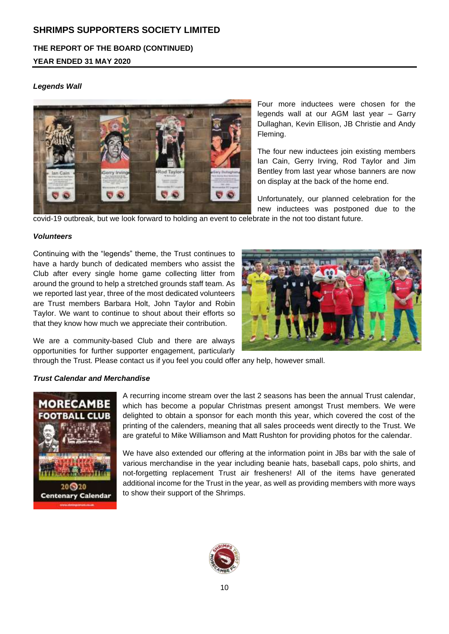# **THE REPORT OF THE BOARD (CONTINUED)**

# **YEAR ENDED 31 MAY 2020**

## *Legends Wall*



Four more inductees were chosen for the legends wall at our AGM last year – Garry Dullaghan, Kevin Ellison, JB Christie and Andy Fleming.

The four new inductees join existing members Ian Cain, Gerry Irving, Rod Taylor and Jim Bentley from last year whose banners are now on display at the back of the home end.

Unfortunately, our planned celebration for the new inductees was postponed due to the

covid-19 outbreak, but we look forward to holding an event to celebrate in the not too distant future.

#### *Volunteers*

Continuing with the "legends" theme, the Trust continues to have a hardy bunch of dedicated members who assist the Club after every single home game collecting litter from around the ground to help a stretched grounds staff team. As we reported last year, three of the most dedicated volunteers are Trust members Barbara Holt, John Taylor and Robin Taylor. We want to continue to shout about their efforts so that they know how much we appreciate their contribution.



We are a community-based Club and there are always opportunities for further supporter engagement, particularly

through the Trust. Please contact us if you feel you could offer any help, however small.

#### *Trust Calendar and Merchandise*



A recurring income stream over the last 2 seasons has been the annual Trust calendar, which has become a popular Christmas present amongst Trust members. We were delighted to obtain a sponsor for each month this year, which covered the cost of the printing of the calenders, meaning that all sales proceeds went directly to the Trust. We are grateful to Mike Williamson and Matt Rushton for providing photos for the calendar.

We have also extended our offering at the information point in JBs bar with the sale of various merchandise in the year including beanie hats, baseball caps, polo shirts, and not-forgetting replacement Trust air fresheners! All of the items have generated additional income for the Trust in the year, as well as providing members with more ways to show their support of the Shrimps.

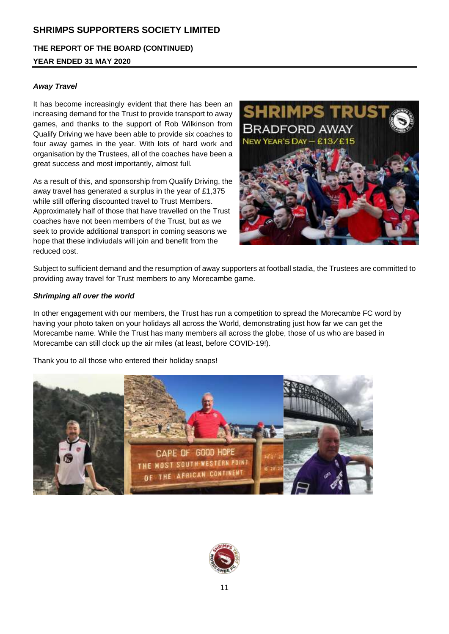**THE REPORT OF THE BOARD (CONTINUED) YEAR ENDED 31 MAY 2020**

# *Away Travel*

It has become increasingly evident that there has been an increasing demand for the Trust to provide transport to away games, and thanks to the support of Rob Wilkinson from Qualify Driving we have been able to provide six coaches to four away games in the year. With lots of hard work and organisation by the Trustees, all of the coaches have been a great success and most importantly, almost full.

As a result of this, and sponsorship from Qualify Driving, the away travel has generated a surplus in the year of £1,375 while still offering discounted travel to Trust Members. Approximately half of those that have travelled on the Trust coaches have not been members of the Trust, but as we seek to provide additional transport in coming seasons we hope that these indiviudals will join and benefit from the reduced cost.



Subject to sufficient demand and the resumption of away supporters at football stadia, the Trustees are committed to providing away travel for Trust members to any Morecambe game.

## *Shrimping all over the world*

In other engagement with our members, the Trust has run a competition to spread the Morecambe FC word by having your photo taken on your holidays all across the World, demonstrating just how far we can get the Morecambe name. While the Trust has many members all across the globe, those of us who are based in Morecambe can still clock up the air miles (at least, before COVID-19!).

Thank you to all those who entered their holiday snaps!



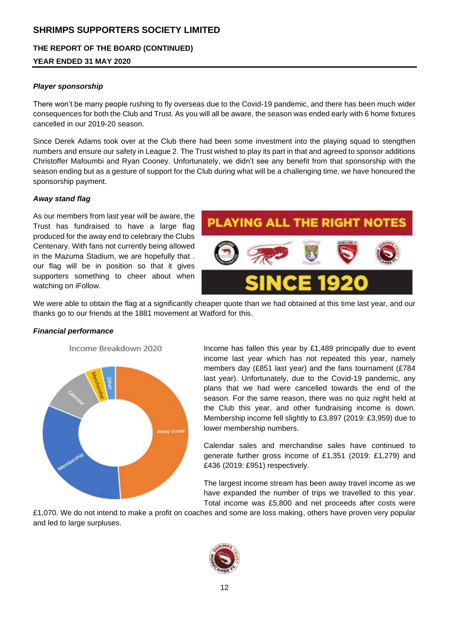## **THE REPORT OF THE BOARD (CONTINUED)**

## **YEAR ENDED 31 MAY 2020**

## *Player sponsorship*

There won't be many people rushing to fly overseas due to the Covid-19 pandemic, and there has been much wider consequences for both the Club and Trust. As you will all be aware, the season was ended early with 6 home fixtures cancelled in our 2019-20 season.

Since Derek Adams took over at the Club there had been some investment into the playing squad to stengthen numbers and ensure our safety in League 2. The Trust wished to play its part in that and agreed to sponsor additions Christoffer Mafoumbi and Ryan Cooney. Unfortunately, we didn't see any benefit from that sponsorship with the season ending but as a gesture of support for the Club during what will be a challenging time, we have honoured the sponsorship payment.

#### *Away stand flag*

As our members from last year will be aware, the Trust has fundraised to have a large flag produced for the away end to celebrary the Clubs Centenary. With fans not currently being allowed in the Mazuma Stadium, we are hopefully that . our flag will be in position so that it gives supporters something to cheer about when watching on iFollow.



We were able to obtain the flag at a significantly cheaper quote than we had obtained at this time last year, and our thanks go to our friends at the 1881 movement at Watford for this.

#### *Financial performance*

Income Breakdown 2020



Income has fallen this year by £1,489 principally due to event income last year which has not repeated this year, namely members day (£851 last year) and the fans tournament (£784 last year). Unfortunately, due to the Covid-19 pandemic, any plans that we had were cancelled towards the end of the season. For the same reason, there was no quiz night held at the Club this year, and other fundraising income is down. Membership income fell slightly to £3,897 (2019: £3,959) due to lower membership numbers.

Calendar sales and merchandise sales have continued to generate further gross income of £1,351 (2019: £1,279) and £436 (2019: £951) respectively.

The largest income stream has been away travel income as we have expanded the number of trips we travelled to this year. Total income was £5,800 and net proceeds after costs were

£1,070. We do not intend to make a profit on coaches and some are loss making, others have proven very popular and led to large surpluses.

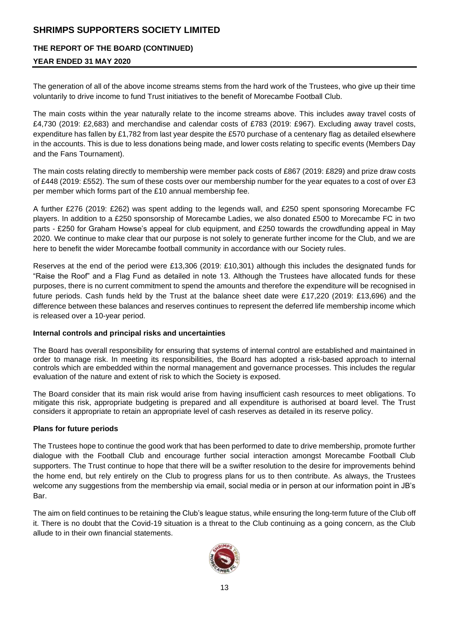## **THE REPORT OF THE BOARD (CONTINUED)**

## **YEAR ENDED 31 MAY 2020**

The generation of all of the above income streams stems from the hard work of the Trustees, who give up their time voluntarily to drive income to fund Trust initiatives to the benefit of Morecambe Football Club.

The main costs within the year naturally relate to the income streams above. This includes away travel costs of £4,730 (2019: £2,683) and merchandise and calendar costs of £783 (2019: £967). Excluding away travel costs, expenditure has fallen by £1,782 from last year despite the £570 purchase of a centenary flag as detailed elsewhere in the accounts. This is due to less donations being made, and lower costs relating to specific events (Members Day and the Fans Tournament).

The main costs relating directly to membership were member pack costs of £867 (2019: £829) and prize draw costs of £448 (2019: £552). The sum of these costs over our membership number for the year equates to a cost of over £3 per member which forms part of the £10 annual membership fee.

A further £276 (2019: £262) was spent adding to the legends wall, and £250 spent sponsoring Morecambe FC players. In addition to a £250 sponsorship of Morecambe Ladies, we also donated £500 to Morecambe FC in two parts - £250 for Graham Howse's appeal for club equipment, and £250 towards the crowdfunding appeal in May 2020. We continue to make clear that our purpose is not solely to generate further income for the Club, and we are here to benefit the wider Morecambe football community in accordance with our Society rules.

Reserves at the end of the period were £13,306 (2019: £10,301) although this includes the designated funds for "Raise the Roof" and a Flag Fund as detailed in note 13. Although the Trustees have allocated funds for these purposes, there is no current commitment to spend the amounts and therefore the expenditure will be recognised in future periods. Cash funds held by the Trust at the balance sheet date were £17,220 (2019: £13,696) and the difference between these balances and reserves continues to represent the deferred life membership income which is released over a 10-year period.

#### **Internal controls and principal risks and uncertainties**

The Board has overall responsibility for ensuring that systems of internal control are established and maintained in order to manage risk. In meeting its responsibilities, the Board has adopted a risk-based approach to internal controls which are embedded within the normal management and governance processes. This includes the regular evaluation of the nature and extent of risk to which the Society is exposed.

The Board consider that its main risk would arise from having insufficient cash resources to meet obligations. To mitigate this risk, appropriate budgeting is prepared and all expenditure is authorised at board level. The Trust considers it appropriate to retain an appropriate level of cash reserves as detailed in its reserve policy.

## **Plans for future periods**

The Trustees hope to continue the good work that has been performed to date to drive membership, promote further dialogue with the Football Club and encourage further social interaction amongst Morecambe Football Club supporters. The Trust continue to hope that there will be a swifter resolution to the desire for improvements behind the home end, but rely entirely on the Club to progress plans for us to then contribute. As always, the Trustees welcome any suggestions from the membership via email, social media or in person at our information point in JB's Bar.

The aim on field continues to be retaining the Club's league status, while ensuring the long-term future of the Club off it. There is no doubt that the Covid-19 situation is a threat to the Club continuing as a going concern, as the Club allude to in their own financial statements.

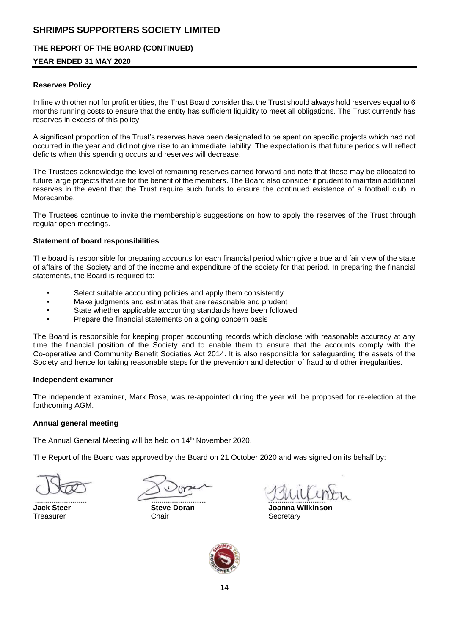## **THE REPORT OF THE BOARD (CONTINUED)**

## **YEAR ENDED 31 MAY 2020**

#### **Reserves Policy**

In line with other not for profit entities, the Trust Board consider that the Trust should always hold reserves equal to 6 months running costs to ensure that the entity has sufficient liquidity to meet all obligations. The Trust currently has reserves in excess of this policy.

A significant proportion of the Trust's reserves have been designated to be spent on specific projects which had not occurred in the year and did not give rise to an immediate liability. The expectation is that future periods will reflect deficits when this spending occurs and reserves will decrease.

The Trustees acknowledge the level of remaining reserves carried forward and note that these may be allocated to future large projects that are for the benefit of the members. The Board also consider it prudent to maintain additional reserves in the event that the Trust require such funds to ensure the continued existence of a football club in Morecambe.

The Trustees continue to invite the membership's suggestions on how to apply the reserves of the Trust through regular open meetings.

#### **Statement of board responsibilities**

The board is responsible for preparing accounts for each financial period which give a true and fair view of the state of affairs of the Society and of the income and expenditure of the society for that period. In preparing the financial statements, the Board is required to:

- Select suitable accounting policies and apply them consistently
- Make judgments and estimates that are reasonable and prudent
- State whether applicable accounting standards have been followed
- Prepare the financial statements on a going concern basis

The Board is responsible for keeping proper accounting records which disclose with reasonable accuracy at any time the financial position of the Society and to enable them to ensure that the accounts comply with the Co-operative and Community Benefit Societies Act 2014. It is also responsible for safeguarding the assets of the Society and hence for taking reasonable steps for the prevention and detection of fraud and other irregularities.

#### **Independent examiner**

The independent examiner, Mark Rose, was re-appointed during the year will be proposed for re-election at the forthcoming AGM.

#### **Annual general meeting**

The Annual General Meeting will be held on 14<sup>th</sup> November 2020.

The Report of the Board was approved by the Board on 21 October 2020 and was signed on its behalf by:

Treasurer **Chair** Chair Chair Secretary

**Jack Steer Steve Doran Joanna Wilkinson**

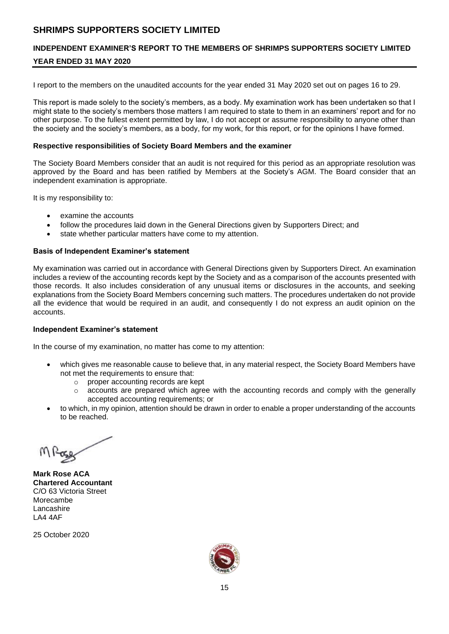# **INDEPENDENT EXAMINER'S REPORT TO THE MEMBERS OF SHRIMPS SUPPORTERS SOCIETY LIMITED**

# **YEAR ENDED 31 MAY 2020**

I report to the members on the unaudited accounts for the year ended 31 May 2020 set out on pages 16 to 29.

This report is made solely to the society's members, as a body. My examination work has been undertaken so that I might state to the society's members those matters I am required to state to them in an examiners' report and for no other purpose. To the fullest extent permitted by law, I do not accept or assume responsibility to anyone other than the society and the society's members, as a body, for my work, for this report, or for the opinions I have formed.

#### **Respective responsibilities of Society Board Members and the examiner**

The Society Board Members consider that an audit is not required for this period as an appropriate resolution was approved by the Board and has been ratified by Members at the Society's AGM. The Board consider that an independent examination is appropriate.

It is my responsibility to:

- examine the accounts
- follow the procedures laid down in the General Directions given by Supporters Direct; and
- state whether particular matters have come to my attention.

#### **Basis of Independent Examiner's statement**

My examination was carried out in accordance with General Directions given by Supporters Direct. An examination includes a review of the accounting records kept by the Society and as a comparison of the accounts presented with those records. It also includes consideration of any unusual items or disclosures in the accounts, and seeking explanations from the Society Board Members concerning such matters. The procedures undertaken do not provide all the evidence that would be required in an audit, and consequently I do not express an audit opinion on the accounts.

#### **Independent Examiner's statement**

In the course of my examination, no matter has come to my attention:

- which gives me reasonable cause to believe that, in any material respect, the Society Board Members have not met the requirements to ensure that:
	- o proper accounting records are kept
	- $\circ$  accounts are prepared which agree with the accounting records and comply with the generally accepted accounting requirements; or
- to which, in my opinion, attention should be drawn in order to enable a proper understanding of the accounts to be reached.

**Mark Rose ACA Chartered Accountant** C/O 63 Victoria Street Morecambe Lancashire LA4 4AF

25 October 2020

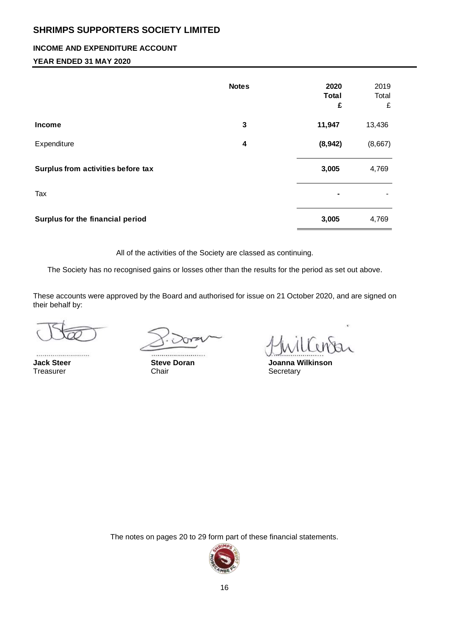## **INCOME AND EXPENDITURE ACCOUNT**

## **YEAR ENDED 31 MAY 2020**

|                                    | <b>Notes</b> | 2020<br><b>Total</b><br>£ | 2019<br>Total<br>£ |
|------------------------------------|--------------|---------------------------|--------------------|
| Income                             | $\mathbf{3}$ | 11,947                    | 13,436             |
| Expenditure                        | 4            | (8,942)                   | (8,667)            |
| Surplus from activities before tax |              | 3,005                     | 4,769              |
| Tax                                |              |                           |                    |
| Surplus for the financial period   |              | 3,005                     | 4,769              |

All of the activities of the Society are classed as continuing.

The Society has no recognised gains or losses other than the results for the period as set out above.

These accounts were approved by the Board and authorised for issue on 21 October 2020, and are signed on their behalf by:

Treasurer Chair Chair Chair Secretary

**Jack Steer Steve Doran Joanna Wilkinson**

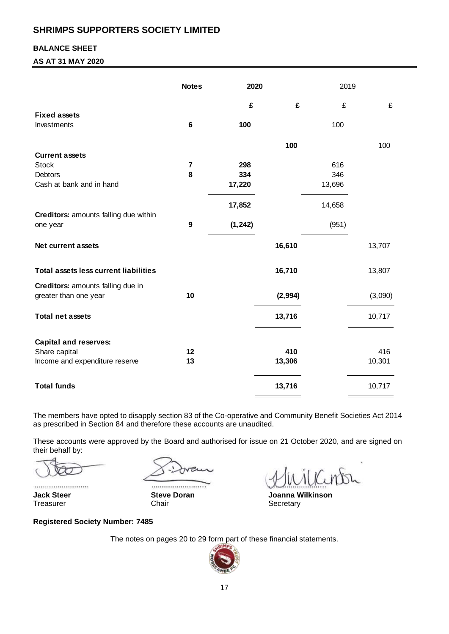## **BALANCE SHEET**

## **AS AT 31 MAY 2020**

|                                              | <b>Notes</b>   | 2020     |         | 2019   |         |
|----------------------------------------------|----------------|----------|---------|--------|---------|
|                                              |                | £        | £       | £      | £       |
| <b>Fixed assets</b>                          |                |          |         |        |         |
| Investments                                  | 6              | 100      |         | 100    |         |
|                                              |                |          | 100     |        | 100     |
| <b>Current assets</b>                        |                |          |         |        |         |
| <b>Stock</b>                                 | $\overline{7}$ | 298      |         | 616    |         |
| <b>Debtors</b>                               | 8              | 334      |         | 346    |         |
| Cash at bank and in hand                     |                | 17,220   |         | 13,696 |         |
|                                              |                | 17,852   |         | 14,658 |         |
| Creditors: amounts falling due within        |                |          |         |        |         |
| one year                                     | 9              | (1, 242) |         | (951)  |         |
| <b>Net current assets</b>                    |                |          | 16,610  |        | 13,707  |
| <b>Total assets less current liabilities</b> |                |          | 16,710  |        | 13,807  |
| Creditors: amounts falling due in            |                |          |         |        |         |
| greater than one year                        | 10             |          | (2,994) |        | (3,090) |
| <b>Total net assets</b>                      |                |          | 13,716  |        | 10,717  |
| <b>Capital and reserves:</b>                 |                |          |         |        |         |
| Share capital                                | 12             |          | 410     |        | 416     |
| Income and expenditure reserve               | 13             |          | 13,306  |        | 10,301  |
| <b>Total funds</b>                           |                |          | 13,716  |        | 10,717  |

The members have opted to disapply section 83 of the Co-operative and Community Benefit Societies Act 2014 as prescribed in Section 84 and therefore these accounts are unaudited.

These accounts were approved by the Board and authorised for issue on 21 October 2020, and are signed on their behalf by:

Treasurer Chair Chair Chair Secretary

 $\frac{1}{2}$ 

**Jack Steer Steve Doran Joanna Wilkinson** 

#### **Registered Society Number: 7485**

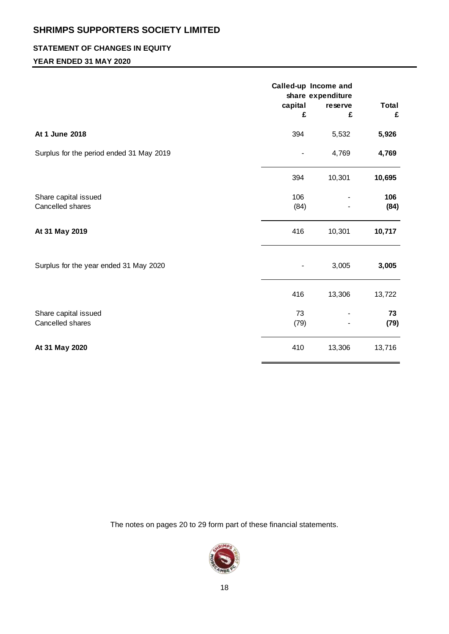## **STATEMENT OF CHANGES IN EQUITY**

## **YEAR ENDED 31 MAY 2020**

|                                          | capital<br>£ | Called-up Income and<br>share expenditure<br>reserve<br>£ | <b>Total</b><br>£ |
|------------------------------------------|--------------|-----------------------------------------------------------|-------------------|
| At 1 June 2018                           | 394          | 5,532                                                     | 5,926             |
| Surplus for the period ended 31 May 2019 |              | 4,769                                                     | 4,769             |
|                                          | 394          | 10,301                                                    | 10,695            |
| Share capital issued<br>Cancelled shares | 106<br>(84)  |                                                           | 106<br>(84)       |
| At 31 May 2019                           | 416          | 10,301                                                    | 10,717            |
| Surplus for the year ended 31 May 2020   |              | 3,005                                                     | 3,005             |
|                                          | 416          | 13,306                                                    | 13,722            |
| Share capital issued<br>Cancelled shares | 73<br>(79)   |                                                           | 73<br>(79)        |
| At 31 May 2020                           | 410          | 13,306                                                    | 13,716            |

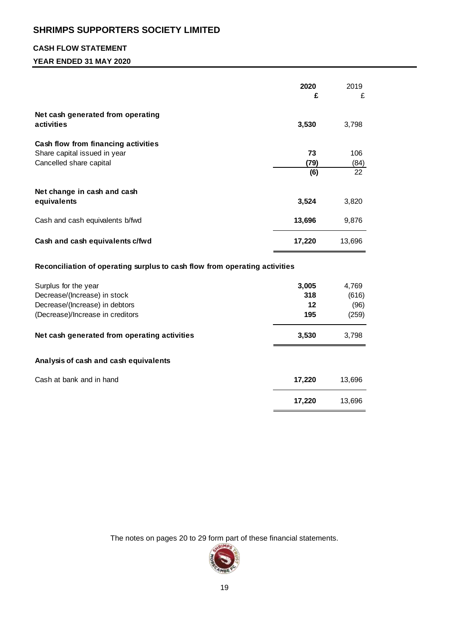# **CASH FLOW STATEMENT**

## **YEAR ENDED 31 MAY 2020**

|                                                                            | 2020   | 2019   |
|----------------------------------------------------------------------------|--------|--------|
|                                                                            | £      | £      |
| Net cash generated from operating                                          |        |        |
| activities                                                                 | 3,530  | 3,798  |
|                                                                            |        |        |
| Cash flow from financing activities                                        |        |        |
| Share capital issued in year                                               | 73     | 106    |
| Cancelled share capital                                                    | (79)   | (84)   |
|                                                                            | (6)    | 22     |
| Net change in cash and cash                                                |        |        |
| equivalents                                                                | 3,524  | 3,820  |
|                                                                            |        |        |
| Cash and cash equivalents b/fwd                                            | 13,696 | 9,876  |
|                                                                            |        |        |
| Cash and cash equivalents c/fwd                                            | 17,220 | 13,696 |
|                                                                            |        |        |
| Reconciliation of operating surplus to cash flow from operating activities |        |        |
| Surplus for the year                                                       | 3,005  | 4,769  |
| Decrease/(Increase) in stock                                               | 318    | (616)  |
| Decrease/(Increase) in debtors                                             | 12     | (96)   |
| (Decrease)/Increase in creditors                                           | 195    | (259)  |
|                                                                            |        |        |
| Net cash generated from operating activities                               | 3,530  | 3,798  |
|                                                                            |        |        |
| Analysis of cash and cash equivalents                                      |        |        |
| Cash at bank and in hand                                                   | 17,220 | 13,696 |
|                                                                            |        |        |
|                                                                            | 17,220 | 13,696 |
|                                                                            |        |        |

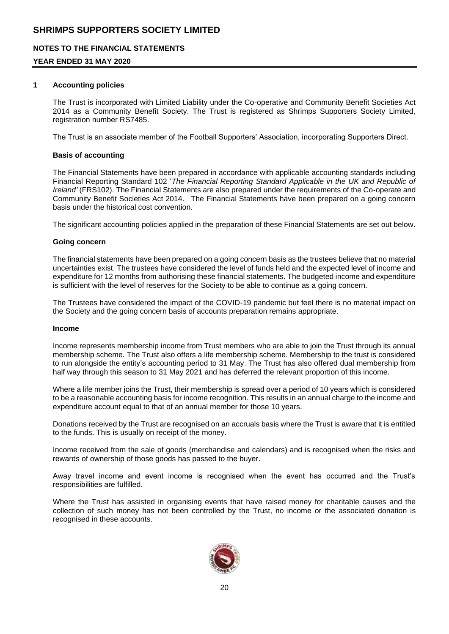## **NOTES TO THE FINANCIAL STATEMENTS**

## **YEAR ENDED 31 MAY 2020**

#### **1 Accounting policies**

The Trust is incorporated with Limited Liability under the Co-operative and Community Benefit Societies Act 2014 as a Community Benefit Society. The Trust is registered as Shrimps Supporters Society Limited, registration number RS7485.

The Trust is an associate member of the Football Supporters' Association, incorporating Supporters Direct.

#### **Basis of accounting**

The Financial Statements have been prepared in accordance with applicable accounting standards including Financial Reporting Standard 102 '*The Financial Reporting Standard Applicable in the UK and Republic of Ireland'* (FRS102). The Financial Statements are also prepared under the requirements of the Co-operate and Community Benefit Societies Act 2014. The Financial Statements have been prepared on a going concern basis under the historical cost convention.

The significant accounting policies applied in the preparation of these Financial Statements are set out below.

#### **Going concern**

The financial statements have been prepared on a going concern basis as the trustees believe that no material uncertainties exist. The trustees have considered the level of funds held and the expected level of income and expenditure for 12 months from authorising these financial statements. The budgeted income and expenditure is sufficient with the level of reserves for the Society to be able to continue as a going concern.

The Trustees have considered the impact of the COVID-19 pandemic but feel there is no material impact on the Society and the going concern basis of accounts preparation remains appropriate.

#### **Income**

Income represents membership income from Trust members who are able to join the Trust through its annual membership scheme. The Trust also offers a life membership scheme. Membership to the trust is considered to run alongside the entity's accounting period to 31 May. The Trust has also offered dual membership from half way through this season to 31 May 2021 and has deferred the relevant proportion of this income.

Where a life member joins the Trust, their membership is spread over a period of 10 years which is considered to be a reasonable accounting basis for income recognition. This results in an annual charge to the income and expenditure account equal to that of an annual member for those 10 years.

Donations received by the Trust are recognised on an accruals basis where the Trust is aware that it is entitled to the funds. This is usually on receipt of the money.

Income received from the sale of goods (merchandise and calendars) and is recognised when the risks and rewards of ownership of those goods has passed to the buyer.

Away travel income and event income is recognised when the event has occurred and the Trust's responsibilities are fulfilled.

Where the Trust has assisted in organising events that have raised money for charitable causes and the collection of such money has not been controlled by the Trust, no income or the associated donation is recognised in these accounts.

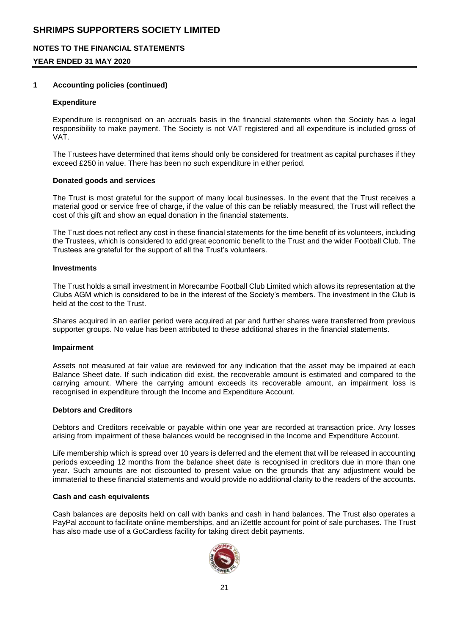## **NOTES TO THE FINANCIAL STATEMENTS**

## **YEAR ENDED 31 MAY 2020**

#### **1 Accounting policies (continued)**

#### **Expenditure**

Expenditure is recognised on an accruals basis in the financial statements when the Society has a legal responsibility to make payment. The Society is not VAT registered and all expenditure is included gross of VAT.

The Trustees have determined that items should only be considered for treatment as capital purchases if they exceed £250 in value. There has been no such expenditure in either period.

#### **Donated goods and services**

The Trust is most grateful for the support of many local businesses. In the event that the Trust receives a material good or service free of charge, if the value of this can be reliably measured, the Trust will reflect the cost of this gift and show an equal donation in the financial statements.

The Trust does not reflect any cost in these financial statements for the time benefit of its volunteers, including the Trustees, which is considered to add great economic benefit to the Trust and the wider Football Club. The Trustees are grateful for the support of all the Trust's volunteers.

#### **Investments**

The Trust holds a small investment in Morecambe Football Club Limited which allows its representation at the Clubs AGM which is considered to be in the interest of the Society's members. The investment in the Club is held at the cost to the Trust.

Shares acquired in an earlier period were acquired at par and further shares were transferred from previous supporter groups. No value has been attributed to these additional shares in the financial statements.

#### **Impairment**

Assets not measured at fair value are reviewed for any indication that the asset may be impaired at each Balance Sheet date. If such indication did exist, the recoverable amount is estimated and compared to the carrying amount. Where the carrying amount exceeds its recoverable amount, an impairment loss is recognised in expenditure through the Income and Expenditure Account.

#### **Debtors and Creditors**

Debtors and Creditors receivable or payable within one year are recorded at transaction price. Any losses arising from impairment of these balances would be recognised in the Income and Expenditure Account.

Life membership which is spread over 10 years is deferred and the element that will be released in accounting periods exceeding 12 months from the balance sheet date is recognised in creditors due in more than one year. Such amounts are not discounted to present value on the grounds that any adjustment would be immaterial to these financial statements and would provide no additional clarity to the readers of the accounts.

#### **Cash and cash equivalents**

Cash balances are deposits held on call with banks and cash in hand balances. The Trust also operates a PayPal account to facilitate online memberships, and an iZettle account for point of sale purchases. The Trust has also made use of a GoCardless facility for taking direct debit payments.

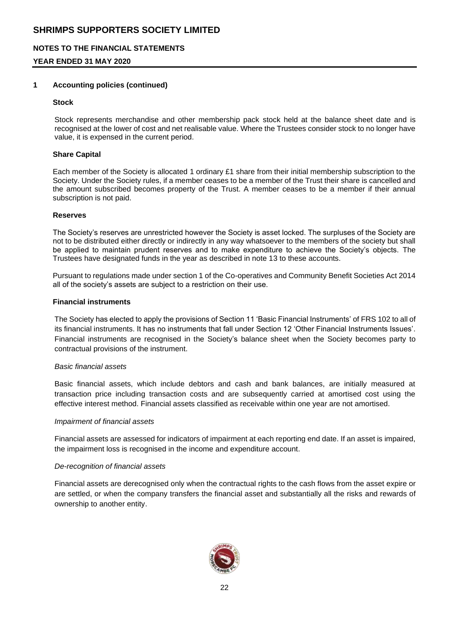## **NOTES TO THE FINANCIAL STATEMENTS**

## **YEAR ENDED 31 MAY 2020**

#### **1 Accounting policies (continued)**

#### **Stock**

Stock represents merchandise and other membership pack stock held at the balance sheet date and is recognised at the lower of cost and net realisable value. Where the Trustees consider stock to no longer have value, it is expensed in the current period.

#### **Share Capital**

Each member of the Society is allocated 1 ordinary £1 share from their initial membership subscription to the Society. Under the Society rules, if a member ceases to be a member of the Trust their share is cancelled and the amount subscribed becomes property of the Trust. A member ceases to be a member if their annual subscription is not paid.

#### **Reserves**

The Society's reserves are unrestricted however the Society is asset locked. The surpluses of the Society are not to be distributed either directly or indirectly in any way whatsoever to the members of the society but shall be applied to maintain prudent reserves and to make expenditure to achieve the Society's objects. The Trustees have designated funds in the year as described in note 13 to these accounts.

Pursuant to regulations made under section 1 of the Co-operatives and Community Benefit Societies Act 2014 all of the society's assets are subject to a restriction on their use.

#### **Financial instruments**

The Society has elected to apply the provisions of Section 11 'Basic Financial Instruments' of FRS 102 to all of its financial instruments. It has no instruments that fall under Section 12 'Other Financial Instruments Issues'. Financial instruments are recognised in the Society's balance sheet when the Society becomes party to contractual provisions of the instrument.

#### *Basic financial assets*

Basic financial assets, which include debtors and cash and bank balances, are initially measured at transaction price including transaction costs and are subsequently carried at amortised cost using the effective interest method. Financial assets classified as receivable within one year are not amortised.

#### *Impairment of financial assets*

Financial assets are assessed for indicators of impairment at each reporting end date. If an asset is impaired, the impairment loss is recognised in the income and expenditure account.

#### *De-recognition of financial assets*

Financial assets are derecognised only when the contractual rights to the cash flows from the asset expire or are settled, or when the company transfers the financial asset and substantially all the risks and rewards of ownership to another entity.

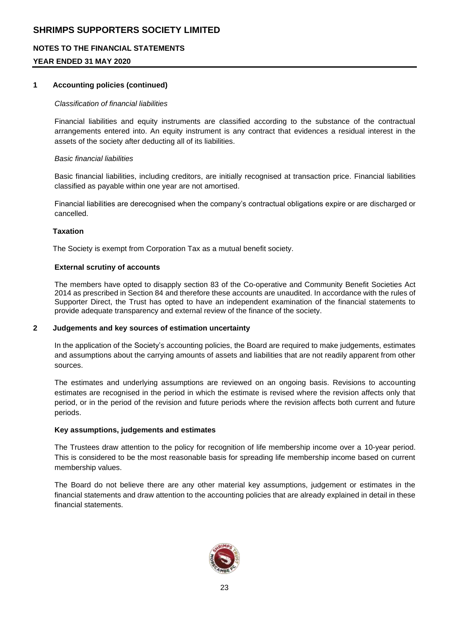## **NOTES TO THE FINANCIAL STATEMENTS**

## **YEAR ENDED 31 MAY 2020**

#### **1 Accounting policies (continued)**

#### *Classification of financial liabilities*

Financial liabilities and equity instruments are classified according to the substance of the contractual arrangements entered into. An equity instrument is any contract that evidences a residual interest in the assets of the society after deducting all of its liabilities.

#### *Basic financial liabilities*

Basic financial liabilities, including creditors, are initially recognised at transaction price. Financial liabilities classified as payable within one year are not amortised.

Financial liabilities are derecognised when the company's contractual obligations expire or are discharged or cancelled.

#### **Taxation**

The Society is exempt from Corporation Tax as a mutual benefit society.

#### **External scrutiny of accounts**

The members have opted to disapply section 83 of the Co-operative and Community Benefit Societies Act 2014 as prescribed in Section 84 and therefore these accounts are unaudited. In accordance with the rules of Supporter Direct, the Trust has opted to have an independent examination of the financial statements to provide adequate transparency and external review of the finance of the society.

#### **2 Judgements and key sources of estimation uncertainty**

In the application of the Society's accounting policies, the Board are required to make judgements, estimates and assumptions about the carrying amounts of assets and liabilities that are not readily apparent from other sources.

The estimates and underlying assumptions are reviewed on an ongoing basis. Revisions to accounting estimates are recognised in the period in which the estimate is revised where the revision affects only that period, or in the period of the revision and future periods where the revision affects both current and future periods.

#### **Key assumptions, judgements and estimates**

The Trustees draw attention to the policy for recognition of life membership income over a 10-year period. This is considered to be the most reasonable basis for spreading life membership income based on current membership values.

The Board do not believe there are any other material key assumptions, judgement or estimates in the financial statements and draw attention to the accounting policies that are already explained in detail in these financial statements.

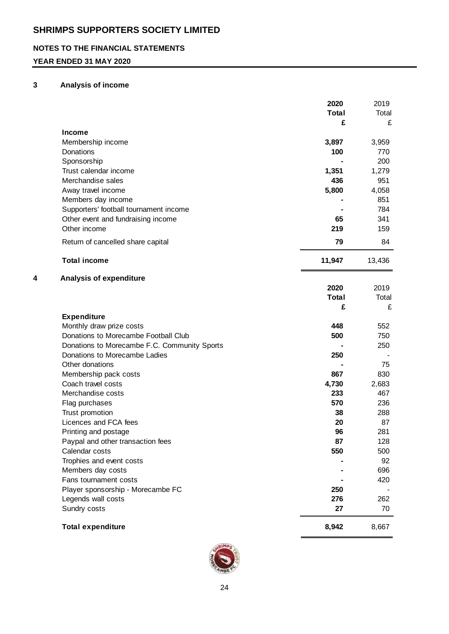## **NOTES TO THE FINANCIAL STATEMENTS**

## **YEAR ENDED 31 MAY 2020**

#### **3 Analysis of income**

|   |                                                                                      | 2020<br><b>Total</b> | 2019<br>Total |
|---|--------------------------------------------------------------------------------------|----------------------|---------------|
|   |                                                                                      | £                    | £             |
|   | <b>Income</b><br>Membership income                                                   | 3,897                | 3,959         |
|   | Donations                                                                            | 100                  | 770           |
|   | Sponsorship                                                                          |                      | 200           |
|   | Trust calendar income                                                                | 1,351                | 1,279         |
|   | Merchandise sales                                                                    | 436                  | 951           |
|   | Away travel income                                                                   | 5,800                | 4,058         |
|   | Members day income                                                                   |                      | 851           |
|   | Supporters' football tournament income                                               |                      | 784           |
|   | Other event and fundraising income                                                   | 65                   | 341           |
|   | Other income                                                                         | 219                  | 159           |
|   | Return of cancelled share capital                                                    | 79                   | 84            |
|   | <b>Total income</b>                                                                  | 11,947               | 13,436        |
| 4 | <b>Analysis of expenditure</b>                                                       |                      |               |
|   |                                                                                      | 2020                 | 2019          |
|   |                                                                                      | <b>Total</b>         | Total         |
|   |                                                                                      | £                    | £             |
|   | <b>Expenditure</b>                                                                   |                      |               |
|   | Monthly draw prize costs                                                             | 448                  | 552           |
|   | Donations to Morecambe Football Club<br>Donations to Morecambe F.C. Community Sports | 500                  | 750<br>250    |
|   | Donations to Morecambe Ladies                                                        | 250                  |               |
|   | Other donations                                                                      |                      | 75            |
|   | Membership pack costs                                                                | 867                  | 830           |
|   | Coach travel costs                                                                   | 4,730                | 2,683         |
|   | Merchandise costs                                                                    | 233                  | 467           |
|   | Flag purchases                                                                       | 570                  | 236           |
|   | Trust promotion                                                                      | 38                   | 288           |
|   | Licences and FCA fees                                                                | 20                   | 87            |
|   | Printing and postage                                                                 | 96                   | 281           |
|   | Paypal and other transaction fees                                                    | 87                   | 128           |
|   | Calendar costs                                                                       | 550                  | 500           |
|   | Trophies and event costs                                                             |                      | 92            |
|   | Members day costs                                                                    |                      | 696           |
|   | Fans tournament costs                                                                |                      | 420           |
|   | Player sponsorship - Morecambe FC                                                    | 250                  |               |
|   | Legends wall costs                                                                   | 276                  | 262           |
|   | Sundry costs                                                                         | 27                   | 70            |
|   | <b>Total expenditure</b>                                                             | 8,942                | 8,667         |

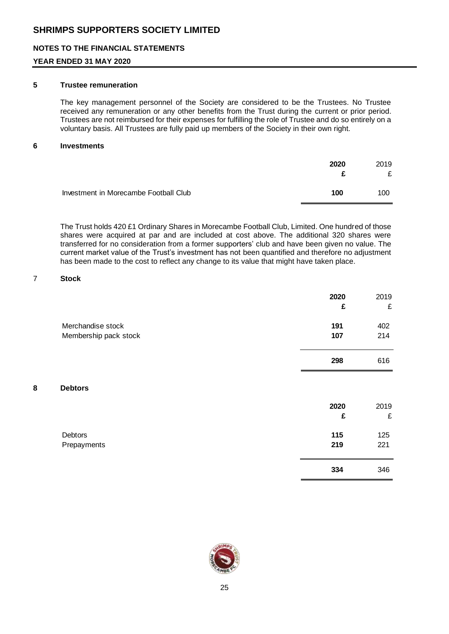## **NOTES TO THE FINANCIAL STATEMENTS**

## **YEAR ENDED 31 MAY 2020**

#### **5 Trustee remuneration**

The key management personnel of the Society are considered to be the Trustees. No Trustee received any remuneration or any other benefits from the Trust during the current or prior period. Trustees are not reimbursed for their expenses for fulfilling the role of Trustee and do so entirely on a voluntary basis. All Trustees are fully paid up members of the Society in their own right.

#### **6 Investments**

|                                       | 2020 | 2019<br>£ |
|---------------------------------------|------|-----------|
| Investment in Morecambe Football Club | 100  | 100       |

The Trust holds 420 £1 Ordinary Shares in Morecambe Football Club, Limited. One hundred of those shares were acquired at par and are included at cost above. The additional 320 shares were transferred for no consideration from a former supporters' club and have been given no value. The current market value of the Trust's investment has not been quantified and therefore no adjustment has been made to the cost to reflect any change to its value that might have taken place.

## 7 **Stock**

|                                            | 2020<br>£  | 2019<br>£  |
|--------------------------------------------|------------|------------|
| Merchandise stock<br>Membership pack stock | 191<br>107 | 402<br>214 |
|                                            | 298        | 616        |

#### **8 Debtors**

|                        | 2020<br>£  | 2019<br>£  |
|------------------------|------------|------------|
| Debtors<br>Prepayments | 115<br>219 | 125<br>221 |
|                        | 334        | 346        |

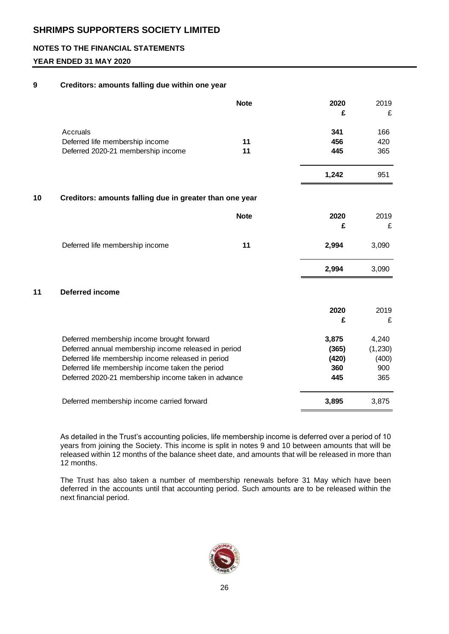## **NOTES TO THE FINANCIAL STATEMENTS**

## **YEAR ENDED 31 MAY 2020**

#### **9 Creditors: amounts falling due within one year**

|    |                                                         | <b>Note</b> | 2020<br>£ | 2019<br>£ |
|----|---------------------------------------------------------|-------------|-----------|-----------|
|    | <b>Accruals</b>                                         |             | 341       | 166       |
|    | Deferred life membership income                         | 11          | 456       | 420       |
|    | Deferred 2020-21 membership income                      | 11          | 445       | 365       |
|    |                                                         |             | 1,242     | 951       |
| 10 | Creditors: amounts falling due in greater than one year |             |           |           |
|    |                                                         | <b>Note</b> | 2020      | 2019      |
|    |                                                         |             | £         | £         |
|    | Deferred life membership income                         | 11          | 2,994     | 3,090     |
|    |                                                         |             | 2,994     | 3,090     |
| 11 | <b>Deferred income</b>                                  |             |           |           |
|    |                                                         |             | 2020      | 2019      |
|    |                                                         |             | £         | £         |
|    | Deferred membership income brought forward              |             | 3,875     | 4,240     |
|    | Deferred annual membership income released in period    |             | (365)     | (1, 230)  |
|    | Deferred life membership income released in period      |             | (420)     | (400)     |
|    | Deferred life membership income taken the period        |             | 360       | 900       |
|    | Deferred 2020-21 membership income taken in advance     |             | 445       | 365       |
|    | Deferred membership income carried forward              |             | 3,895     | 3,875     |

As detailed in the Trust's accounting policies, life membership income is deferred over a period of 10 years from joining the Society. This income is split in notes 9 and 10 between amounts that will be released within 12 months of the balance sheet date, and amounts that will be released in more than 12 months.

The Trust has also taken a number of membership renewals before 31 May which have been deferred in the accounts until that accounting period. Such amounts are to be released within the next financial period.

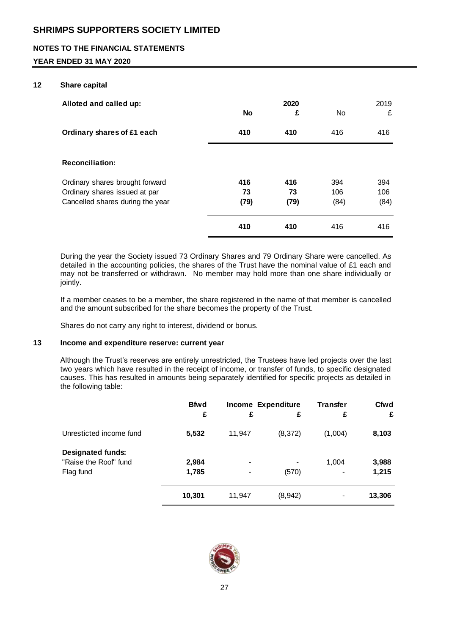## **NOTES TO THE FINANCIAL STATEMENTS**

## **YEAR ENDED 31 MAY 2020**

#### **12 Share capital**

| Alloted and called up:                                                                               | <b>No</b>         | 2020<br>£         | <b>No</b>          | 2019<br>£          |
|------------------------------------------------------------------------------------------------------|-------------------|-------------------|--------------------|--------------------|
| Ordinary shares of £1 each                                                                           | 410               | 410               | 416                | 416                |
| <b>Reconciliation:</b>                                                                               |                   |                   |                    |                    |
| Ordinary shares brought forward<br>Ordinary shares issued at par<br>Cancelled shares during the year | 416<br>73<br>(79) | 416<br>73<br>(79) | 394<br>106<br>(84) | 394<br>106<br>(84) |
|                                                                                                      | 410               | 410               | 416                | 416                |

During the year the Society issued 73 Ordinary Shares and 79 Ordinary Share were cancelled. As detailed in the accounting policies, the shares of the Trust have the nominal value of £1 each and may not be transferred or withdrawn. No member may hold more than one share individually or jointly.

If a member ceases to be a member, the share registered in the name of that member is cancelled and the amount subscribed for the share becomes the property of the Trust.

Shares do not carry any right to interest, dividend or bonus.

#### **13 Income and expenditure reserve: current year**

Although the Trust's reserves are entirely unrestricted, the Trustees have led projects over the last two years which have resulted in the receipt of income, or transfer of funds, to specific designated causes. This has resulted in amounts being separately identified for specific projects as detailed in the following table:

|                                                                | <b>Bfwd</b><br>£ | £      | <b>Income Expenditure</b><br>£ | <b>Transfer</b><br>£ | Cfwd<br>£      |
|----------------------------------------------------------------|------------------|--------|--------------------------------|----------------------|----------------|
| Unresticted income fund                                        | 5,532            | 11,947 | (8, 372)                       | (1,004)              | 8,103          |
| <b>Designated funds:</b><br>"Raise the Roof" fund<br>Flag fund | 2,984<br>1,785   | -      | (570)                          | 1,004                | 3,988<br>1,215 |
|                                                                | 10,301           | 11,947 | (8,942)                        | -                    | 13,306         |

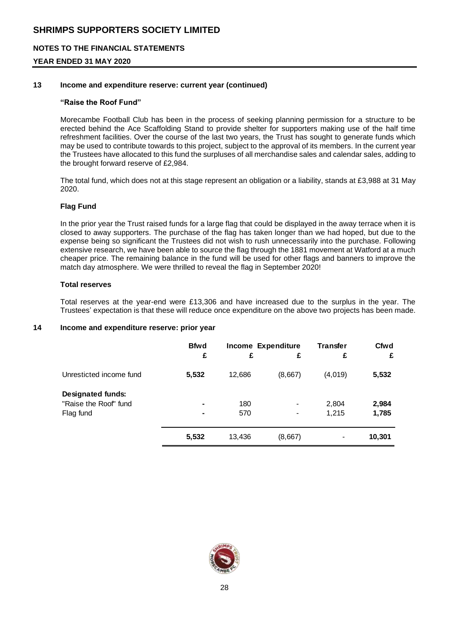## **NOTES TO THE FINANCIAL STATEMENTS**

## **YEAR ENDED 31 MAY 2020**

#### **13 Income and expenditure reserve: current year (continued)**

#### **"Raise the Roof Fund"**

Morecambe Football Club has been in the process of seeking planning permission for a structure to be erected behind the Ace Scaffolding Stand to provide shelter for supporters making use of the half time refreshment facilities. Over the course of the last two years, the Trust has sought to generate funds which may be used to contribute towards to this project, subject to the approval of its members. In the current year the Trustees have allocated to this fund the surpluses of all merchandise sales and calendar sales, adding to the brought forward reserve of £2,984.

The total fund, which does not at this stage represent an obligation or a liability, stands at £3,988 at 31 May 2020.

#### **Flag Fund**

In the prior year the Trust raised funds for a large flag that could be displayed in the away terrace when it is closed to away supporters. The purchase of the flag has taken longer than we had hoped, but due to the expense being so significant the Trustees did not wish to rush unnecessarily into the purchase. Following extensive research, we have been able to source the flag through the 1881 movement at Watford at a much cheaper price. The remaining balance in the fund will be used for other flags and banners to improve the match day atmosphere. We were thrilled to reveal the flag in September 2020!

#### **Total reserves**

Total reserves at the year-end were £13,306 and have increased due to the surplus in the year. The Trustees' expectation is that these will reduce once expenditure on the above two projects has been made.

#### **14 Income and expenditure reserve: prior year**

|                          | <b>Bfwd</b> | <b>Income Expenditure</b> |         | <b>Transfer</b> | <b>Cfwd</b> |
|--------------------------|-------------|---------------------------|---------|-----------------|-------------|
|                          | £           | £                         | £       | £               | £           |
| Unresticted income fund  | 5,532       | 12,686                    | (8,667) | (4,019)         | 5,532       |
| <b>Designated funds:</b> |             |                           |         |                 |             |
| "Raise the Roof" fund    |             | 180                       |         | 2,804           | 2,984       |
| Flag fund                | ۰           | 570                       |         | 1,215           | 1,785       |
|                          | 5,532       | 13,436                    | (8,667) |                 | 10,301      |